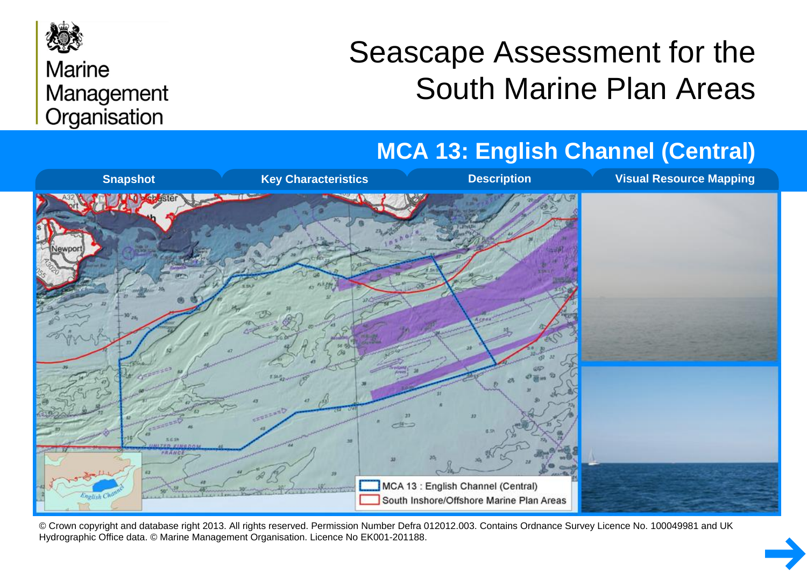

#### **Marine** Management Organisation

# Seascape Assessment for the South Marine Plan Areas

#### **MCA 13: English Channel (Central)**



© Crown copyright and database right 2013. All rights reserved. Permission Number Defra 012012.003. Contains Ordnance Survey Licence No. 100049981 and UK Hydrographic Office data. © Marine Management Organisation. Licence No EK001-201188.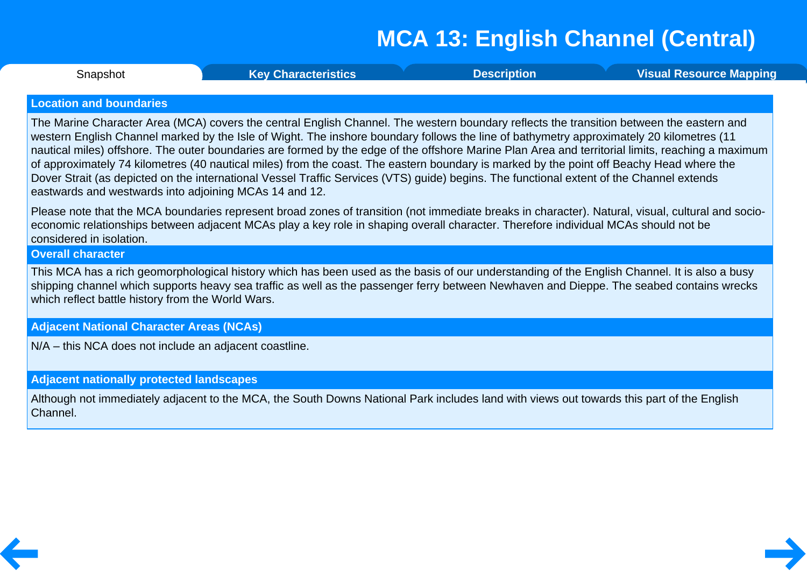<span id="page-1-0"></span>**Snapshot** 

Snapshot **Key [Characteristics](#page-2-0) [Description](#page-3-0) Visual [Resource](#page-6-0) Mapping**

#### **Location and boundaries**

The Marine Character Area (MCA) covers the central English Channel. The western boundary reflects the transition between the eastern and western English Channel marked by the Isle of Wight. The inshore boundary follows the line of bathymetry approximately 20 kilometres (11 nautical miles) offshore. The outer boundaries are formed by the edge of the offshore Marine Plan Area and territorial limits, reaching a maximum of approximately 74 kilometres (40 nautical miles) from the coast. The eastern boundary is marked by the point off Beachy Head where the Dover Strait (as depicted on the international Vessel Traffic Services (VTS) guide) begins. The functional extent of the Channel extends eastwards and westwards into adjoining MCAs 14 and 12.

Please note that the MCA boundaries represent broad zones of transition (not immediate breaks in character). Natural, visual, cultural and socio economic relationships between adjacent MCAs play a key role in shaping overall character. Therefore individual MCAs should not be considered in isolation.

#### **Overall character**

This MCA has a rich geomorphological history which has been used as the basis of our understanding of the English Channel. It is also a busy shipping channel which supports heavy sea traffic as well as the passenger ferry between Newhaven and Dieppe. The seabed contains wrecks which reflect battle history from the World Wars.

#### **Adjacent National Character Areas (NCAs)**

N/A – this NCA does not include an adjacent coastline.

#### **Adjacent nationally protected landscapes**

Although not immediately adjacent to the MCA, the South Downs National Park includes land with views out towards this part of the English Channel.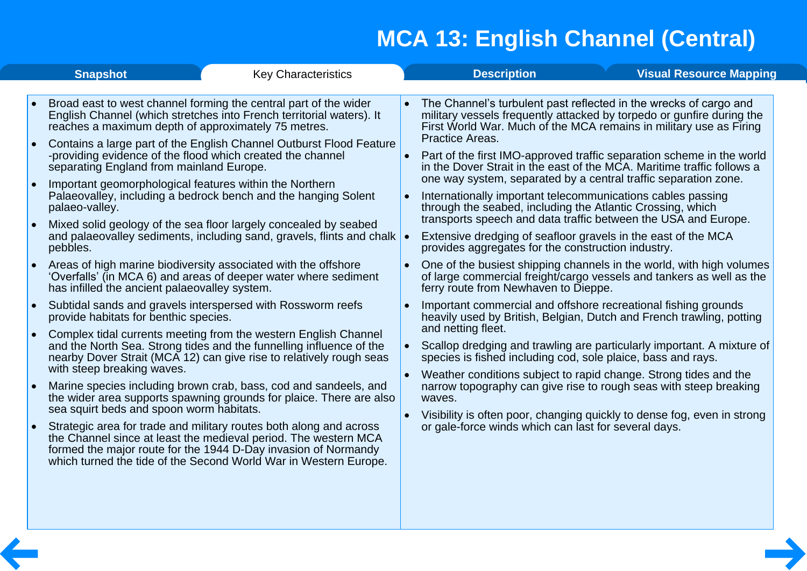<span id="page-2-0"></span>

| Broad east to west channel forming the central part of the wider<br>• The Channel's turbulent past reflected in the wrecks of cargo and<br>English Channel (which stretches into French territorial waters). It<br>military vessels frequently attacked by torpedo or gunfire during the<br>First World War. Much of the MCA remains in military use as Firing<br>reaches a maximum depth of approximately 75 metres.<br>Practice Areas.<br>Contains a large part of the English Channel Outburst Flood Feature<br>-providing evidence of the flood which created the channel<br>Part of the first IMO-approved traffic separation scheme in the world<br>in the Dover Strait in the east of the MCA. Maritime traffic follows a<br>separating England from mainland Europe.<br>one way system, separated by a central traffic separation zone.<br>Important geomorphological features within the Northern<br>Palaeovalley, including a bedrock bench and the hanging Solent<br>Internationally important telecommunications cables passing<br>through the seabed, including the Atlantic Crossing, which<br>palaeo-valley.<br>transports speech and data traffic between the USA and Europe.<br>Mixed solid geology of the sea floor largely concealed by seabed<br>and palaeovalley sediments, including sand, gravels, flints and chalk<br>Extensive dredging of seafloor gravels in the east of the MCA<br>provides aggregates for the construction industry.<br>pebbles.<br>Areas of high marine biodiversity associated with the offshore<br>One of the busiest shipping channels in the world, with high volumes<br>'Overfalls' (in MCA 6) and areas of deeper water where sediment<br>of large commercial freight/cargo vessels and tankers as well as the<br>has infilled the ancient palaeovalley system.<br>ferry route from Newhaven to Dieppe.<br>Subtidal sands and gravels interspersed with Rossworm reefs<br>Important commercial and offshore recreational fishing grounds<br>provide habitats for benthic species.<br>heavily used by British, Belgian, Dutch and French trawling, potting<br>and netting fleet.<br>Complex tidal currents meeting from the western English Channel<br>and the North Sea. Strong tides and the funnelling influence of the<br>Scallop dredging and trawling are particularly important. A mixture of<br>nearby Dover Strait (MCA 12) can give rise to relatively rough seas<br>species is fished including cod, sole plaice, bass and rays.<br>with steep breaking waves.<br>Weather conditions subject to rapid change. Strong tides and the<br>Marine species including brown crab, bass, cod and sandeels, and<br>narrow topography can give rise to rough seas with steep breaking<br>the wider area supports spawning grounds for plaice. There are also<br>waves.<br>sea squirt beds and spoon worm habitats.<br>Visibility is often poor, changing quickly to dense fog, even in strong<br>or gale-force winds which can last for several days.<br>Strategic area for trade and military routes both along and across<br>the Channel since at least the medieval period. The western MCA<br>formed the major route for the 1944 D-Day invasion of Normandy<br>which turned the tide of the Second World War in Western Europe. | <b>Snapshot</b> | <b>Key Characteristics</b> | <b>Description</b> | <b>Visual Resource Mapping</b> |  |
|------------------------------------------------------------------------------------------------------------------------------------------------------------------------------------------------------------------------------------------------------------------------------------------------------------------------------------------------------------------------------------------------------------------------------------------------------------------------------------------------------------------------------------------------------------------------------------------------------------------------------------------------------------------------------------------------------------------------------------------------------------------------------------------------------------------------------------------------------------------------------------------------------------------------------------------------------------------------------------------------------------------------------------------------------------------------------------------------------------------------------------------------------------------------------------------------------------------------------------------------------------------------------------------------------------------------------------------------------------------------------------------------------------------------------------------------------------------------------------------------------------------------------------------------------------------------------------------------------------------------------------------------------------------------------------------------------------------------------------------------------------------------------------------------------------------------------------------------------------------------------------------------------------------------------------------------------------------------------------------------------------------------------------------------------------------------------------------------------------------------------------------------------------------------------------------------------------------------------------------------------------------------------------------------------------------------------------------------------------------------------------------------------------------------------------------------------------------------------------------------------------------------------------------------------------------------------------------------------------------------------------------------------------------------------------------------------------------------------------------------------------------------------------------------------------------------------------------------------------------------------------------------------------------------------------------------------------------------------------------------------------------------------------------------------------------------------------------------------------------------------------------------------------------------------------------------------------------------------------------------------------------------------------------|-----------------|----------------------------|--------------------|--------------------------------|--|
|                                                                                                                                                                                                                                                                                                                                                                                                                                                                                                                                                                                                                                                                                                                                                                                                                                                                                                                                                                                                                                                                                                                                                                                                                                                                                                                                                                                                                                                                                                                                                                                                                                                                                                                                                                                                                                                                                                                                                                                                                                                                                                                                                                                                                                                                                                                                                                                                                                                                                                                                                                                                                                                                                                                                                                                                                                                                                                                                                                                                                                                                                                                                                                                                                                                                                          |                 |                            |                    |                                |  |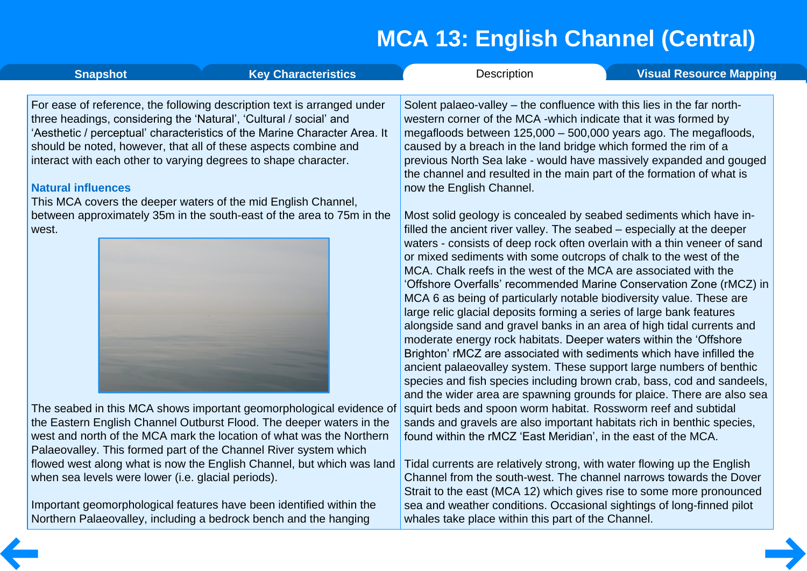whales take place within this part of the Channel.

<span id="page-3-0"></span>

| <b>Snapshot</b>                                                                                                                                                    | <b>Key Characteristics</b>                                                                                                                                                                                                                                                              | Description                                                                                                                                                                                                                                                                                                                                                                                                                                                                                                                                                                                                                                                | <b>Visual Resource Mapping</b>                                                                                                                                                                                                                                                                                                                                             |
|--------------------------------------------------------------------------------------------------------------------------------------------------------------------|-----------------------------------------------------------------------------------------------------------------------------------------------------------------------------------------------------------------------------------------------------------------------------------------|------------------------------------------------------------------------------------------------------------------------------------------------------------------------------------------------------------------------------------------------------------------------------------------------------------------------------------------------------------------------------------------------------------------------------------------------------------------------------------------------------------------------------------------------------------------------------------------------------------------------------------------------------------|----------------------------------------------------------------------------------------------------------------------------------------------------------------------------------------------------------------------------------------------------------------------------------------------------------------------------------------------------------------------------|
| three headings, considering the 'Natural', 'Cultural / social' and<br>interact with each other to varying degrees to shape character.<br><b>Natural influences</b> | For ease of reference, the following description text is arranged under<br>'Aesthetic / perceptual' characteristics of the Marine Character Area. It<br>should be noted, however, that all of these aspects combine and                                                                 | Solent palaeo-valley – the confluence with this lies in the far north-<br>western corner of the MCA -which indicate that it was formed by<br>megafloods between 125,000 - 500,000 years ago. The megafloods,<br>caused by a breach in the land bridge which formed the rim of a<br>the channel and resulted in the main part of the formation of what is<br>now the English Channel.                                                                                                                                                                                                                                                                       | previous North Sea lake - would have massively expanded and gouged                                                                                                                                                                                                                                                                                                         |
| west.                                                                                                                                                              | This MCA covers the deeper waters of the mid English Channel,<br>between approximately 35m in the south-east of the area to 75m in the                                                                                                                                                  | Most solid geology is concealed by seabed sediments which have in-<br>filled the ancient river valley. The seabed – especially at the deeper<br>or mixed sediments with some outcrops of chalk to the west of the<br>MCA. Chalk reefs in the west of the MCA are associated with the<br>MCA 6 as being of particularly notable biodiversity value. These are<br>large relic glacial deposits forming a series of large bank features<br>alongside sand and gravel banks in an area of high tidal currents and<br>moderate energy rock habitats. Deeper waters within the 'Offshore<br>Brighton' rMCZ are associated with sediments which have infilled the | waters - consists of deep rock often overlain with a thin veneer of sand<br>'Offshore Overfalls' recommended Marine Conservation Zone (rMCZ) in<br>ancient palaeovalley system. These support large numbers of benthic<br>species and fish species including brown crab, bass, cod and sandeels,<br>and the wider area are spawning grounds for plaice. There are also sea |
|                                                                                                                                                                    | The seabed in this MCA shows important geomorphological evidence of<br>the Eastern English Channel Outburst Flood. The deeper waters in the<br>west and north of the MCA mark the location of what was the Northern<br>Palaeovalley. This formed part of the Channel River system which | squirt beds and spoon worm habitat. Rossworm reef and subtidal<br>sands and gravels are also important habitats rich in benthic species,<br>found within the rMCZ 'East Meridian', in the east of the MCA.                                                                                                                                                                                                                                                                                                                                                                                                                                                 |                                                                                                                                                                                                                                                                                                                                                                            |
| when sea levels were lower (i.e. glacial periods).                                                                                                                 | flowed west along what is now the English Channel, but which was land                                                                                                                                                                                                                   | Tidal currents are relatively strong, with water flowing up the English                                                                                                                                                                                                                                                                                                                                                                                                                                                                                                                                                                                    | Channel from the south-west. The channel narrows towards the Dover<br>Strait to the east (MCA 12) which gives rise to some more pronounced                                                                                                                                                                                                                                 |
|                                                                                                                                                                    | Important geomorphological features have been identified within the                                                                                                                                                                                                                     | sea and weather conditions. Occasional sightings of long-finned pilot                                                                                                                                                                                                                                                                                                                                                                                                                                                                                                                                                                                      |                                                                                                                                                                                                                                                                                                                                                                            |

Important geomorphological features have been identified within the Northern Palaeovalley, including a bedrock bench and the hanging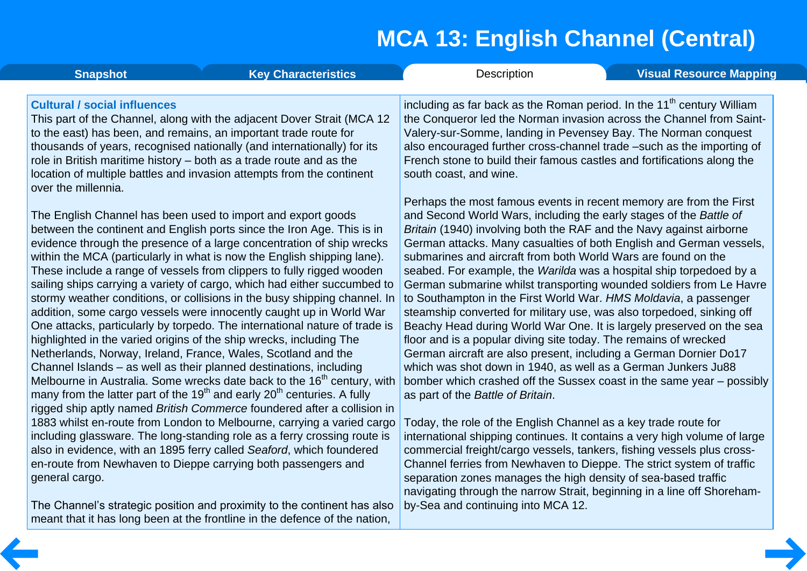| <b>Snapshot</b>                                            | <b>Key Characteristics</b>                                                                                                                                                                                                                                                                                                                                                                                                                                                                                                                                                                                                                                                                                                                                                                                                                                                                                                                                                                                                                                                      | <b>Description</b>                                                                                                                                                                                                                                                                                                                                                                                                                                                                                                                                                                                                                                                                                                                                                                                                                                                                                                                                                                                                                                 | <b>Visual Resource Mapping</b> |
|------------------------------------------------------------|---------------------------------------------------------------------------------------------------------------------------------------------------------------------------------------------------------------------------------------------------------------------------------------------------------------------------------------------------------------------------------------------------------------------------------------------------------------------------------------------------------------------------------------------------------------------------------------------------------------------------------------------------------------------------------------------------------------------------------------------------------------------------------------------------------------------------------------------------------------------------------------------------------------------------------------------------------------------------------------------------------------------------------------------------------------------------------|----------------------------------------------------------------------------------------------------------------------------------------------------------------------------------------------------------------------------------------------------------------------------------------------------------------------------------------------------------------------------------------------------------------------------------------------------------------------------------------------------------------------------------------------------------------------------------------------------------------------------------------------------------------------------------------------------------------------------------------------------------------------------------------------------------------------------------------------------------------------------------------------------------------------------------------------------------------------------------------------------------------------------------------------------|--------------------------------|
| <b>Cultural / social influences</b><br>over the millennia. | This part of the Channel, along with the adjacent Dover Strait (MCA 12<br>to the east) has been, and remains, an important trade route for<br>thousands of years, recognised nationally (and internationally) for its<br>role in British maritime history – both as a trade route and as the<br>location of multiple battles and invasion attempts from the continent                                                                                                                                                                                                                                                                                                                                                                                                                                                                                                                                                                                                                                                                                                           | including as far back as the Roman period. In the 11 <sup>th</sup> century William<br>the Conqueror led the Norman invasion across the Channel from Saint-<br>Valery-sur-Somme, landing in Pevensey Bay. The Norman conquest<br>also encouraged further cross-channel trade -such as the importing of<br>French stone to build their famous castles and fortifications along the<br>south coast, and wine.                                                                                                                                                                                                                                                                                                                                                                                                                                                                                                                                                                                                                                         |                                |
|                                                            | The English Channel has been used to import and export goods<br>between the continent and English ports since the Iron Age. This is in<br>evidence through the presence of a large concentration of ship wrecks<br>within the MCA (particularly in what is now the English shipping lane).<br>These include a range of vessels from clippers to fully rigged wooden<br>sailing ships carrying a variety of cargo, which had either succumbed to<br>stormy weather conditions, or collisions in the busy shipping channel. In<br>addition, some cargo vessels were innocently caught up in World War<br>One attacks, particularly by torpedo. The international nature of trade is<br>highlighted in the varied origins of the ship wrecks, including The<br>Netherlands, Norway, Ireland, France, Wales, Scotland and the<br>Channel Islands – as well as their planned destinations, including<br>Melbourne in Australia. Some wrecks date back to the 16 <sup>th</sup> century, with<br>many from the latter part of the $19th$ and early 20 <sup>th</sup> centuries. A fully | Perhaps the most famous events in recent memory are from the First<br>and Second World Wars, including the early stages of the Battle of<br>Britain (1940) involving both the RAF and the Navy against airborne<br>German attacks. Many casualties of both English and German vessels,<br>submarines and aircraft from both World Wars are found on the<br>seabed. For example, the Warilda was a hospital ship torpedoed by a<br>German submarine whilst transporting wounded soldiers from Le Havre<br>to Southampton in the First World War. HMS Moldavia, a passenger<br>steamship converted for military use, was also torpedoed, sinking off<br>Beachy Head during World War One. It is largely preserved on the sea<br>floor and is a popular diving site today. The remains of wrecked<br>German aircraft are also present, including a German Dornier Do17<br>which was shot down in 1940, as well as a German Junkers Ju88<br>bomber which crashed off the Sussex coast in the same year – possibly<br>as part of the Battle of Britain. |                                |
| general cargo.                                             | rigged ship aptly named British Commerce foundered after a collision in<br>1883 whilst en-route from London to Melbourne, carrying a varied cargo<br>including glassware. The long-standing role as a ferry crossing route is<br>also in evidence, with an 1895 ferry called Seaford, which foundered<br>en-route from Newhaven to Dieppe carrying both passengers and                                                                                                                                                                                                                                                                                                                                                                                                                                                                                                                                                                                                                                                                                                          | Today, the role of the English Channel as a key trade route for<br>international shipping continues. It contains a very high volume of large<br>commercial freight/cargo vessels, tankers, fishing vessels plus cross-<br>Channel ferries from Newhaven to Dieppe. The strict system of traffic<br>separation zones manages the high density of sea-based traffic<br>poviacting through the parrow Strait, beginning in a line off Shereham-                                                                                                                                                                                                                                                                                                                                                                                                                                                                                                                                                                                                       |                                |

The Channel's strategic position and proximity to the continent has also  $\vert$ meant that it has long been at the frontline in the defence of the nation,

navigating through the narrow Strait, beginning in a line off Shoreham by-Sea and continuing into MCA 12.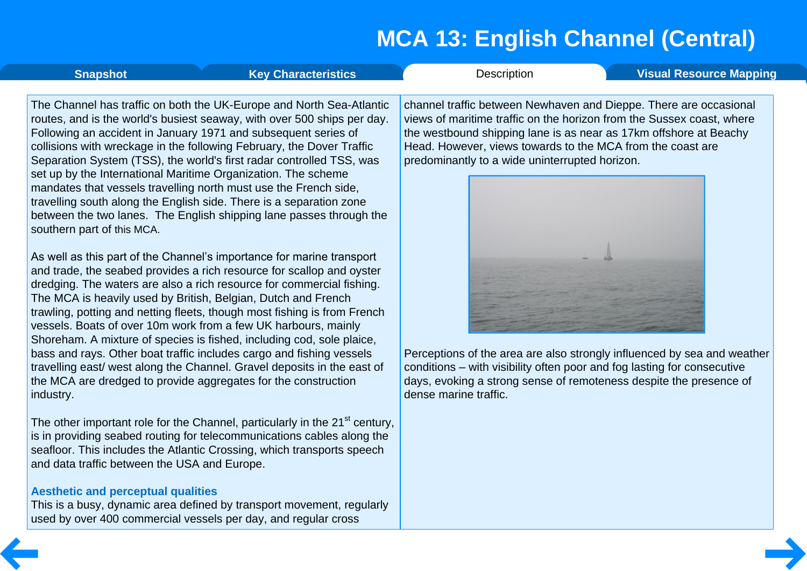<span id="page-5-0"></span>

| <b>Snapshot</b>            | <b>Key Characteristics</b>                                                                                                                                                                                                                                                                                                                                                                                                                                                                                                                                                                                                                            | Description                                                                                                                                                                                                                                                                                                                     | <b>Visual Resource Mapping</b> |
|----------------------------|-------------------------------------------------------------------------------------------------------------------------------------------------------------------------------------------------------------------------------------------------------------------------------------------------------------------------------------------------------------------------------------------------------------------------------------------------------------------------------------------------------------------------------------------------------------------------------------------------------------------------------------------------------|---------------------------------------------------------------------------------------------------------------------------------------------------------------------------------------------------------------------------------------------------------------------------------------------------------------------------------|--------------------------------|
| southern part of this MCA. | The Channel has traffic on both the UK-Europe and North Sea-Atlantic<br>routes, and is the world's busiest seaway, with over 500 ships per day.<br>Following an accident in January 1971 and subsequent series of<br>collisions with wreckage in the following February, the Dover Traffic<br>Separation System (TSS), the world's first radar controlled TSS, was<br>set up by the International Maritime Organization. The scheme<br>mandates that vessels travelling north must use the French side,<br>travelling south along the English side. There is a separation zone<br>between the two lanes. The English shipping lane passes through the | channel traffic between Newhaven and Dieppe. There are occasional<br>views of maritime traffic on the horizon from the Sussex coast, where<br>the westbound shipping lane is as near as 17km offshore at Beachy<br>Head. However, views towards to the MCA from the coast are<br>predominantly to a wide uninterrupted horizon. |                                |

As well as this part of the Channel's importance for marine transport and trade, the seabed provides a rich resource for scallop and oyster dredging. The waters are also a rich resource for commercial fishing. The MCA is heavily used by British, Belgian, Dutch and French trawling, potting and netting fleets, though most fishing is from French vessels. Boats of over 10m work from a few UK harbours, mainly Shoreham. A mixture of species is fished, including cod, sole plaice, bass and rays. Other boat traffic includes cargo and fishing vessels travelling east/ west along the Channel. Gravel deposits in the east of the MCA are dredged to provide aggregates for the construction industry.

The other important role for the Channel, particularly in the 21<sup>st</sup> century, is in providing seabed routing for telecommunications cables along the seafloor. This includes the Atlantic Crossing, which transports speech and data traffic between the USA and Europe.

#### **Aesthetic and perceptual qualities**

This is a busy, dynamic area defined by transport movement, regularly used by over 400 commercial vessels per day, and regular cross



Perceptions of the area are also strongly influenced by sea and weather conditions – with visibility often poor and fog lasting for consecutive days, evoking a strong sense of remoteness despite the presence of dense marine traffic.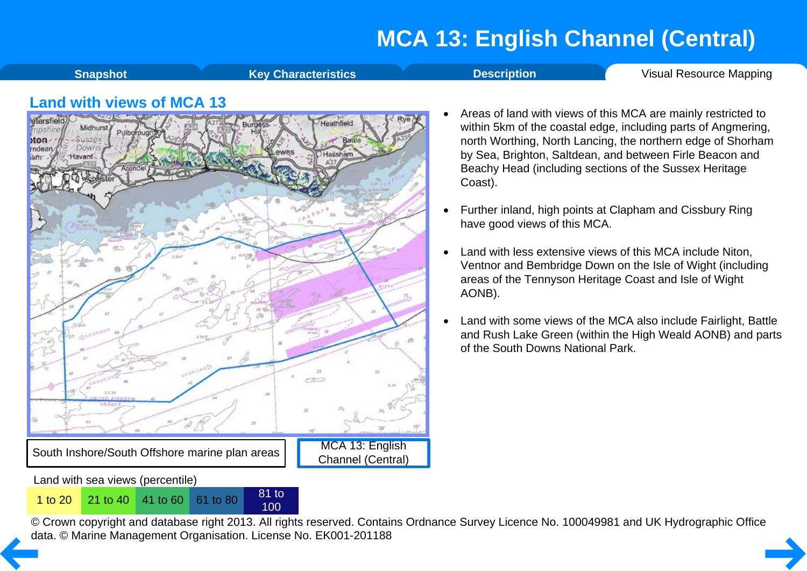**[Snapshot](#page-1-0) Key [Characteristics](#page-2-0) Construction [Description](#page-3-0)** Visual [Resource](#page-6-0) Mapping

<span id="page-6-0"></span>

- Areas of land with views of this MCA are mainly restricted to within 5km of the coastal edge, including parts of Angmering, north Worthing, North Lancing, the northern edge of Shorham by Sea, Brighton, Saltdean, and between Firle Beacon and Beachy Head (including sections of the Sussex Heritage Coast).
- · Further inland, high points at Clapham and Cissbury Ring have good views of this MCA.
- Land with less extensive views of this MCA include Niton, Ventnor and Bembridge Down on the Isle of Wight (including areas of the Tennyson Heritage Coast and Isle of Wight AONB).
- Land with some views of the MCA also include Fairlight, Battle and Rush Lake Green (within the High Weald AONB) and parts of the South Downs National Park.

Land with sea views (percentile)

<sup>1</sup> to <sup>20</sup> <sup>21</sup> to <sup>40</sup> <sup>41</sup> to <sup>60</sup> <sup>61</sup> to <sup>80</sup> <sup>81</sup> to

100

© Crown copyright and database right 2013. All rights reserved. Contains Ordnance Survey Licence No. 100049981 and UK Hydrographic Office [da](#page-5-0)ta. © Marine Management Organisation. License No. EK001-201188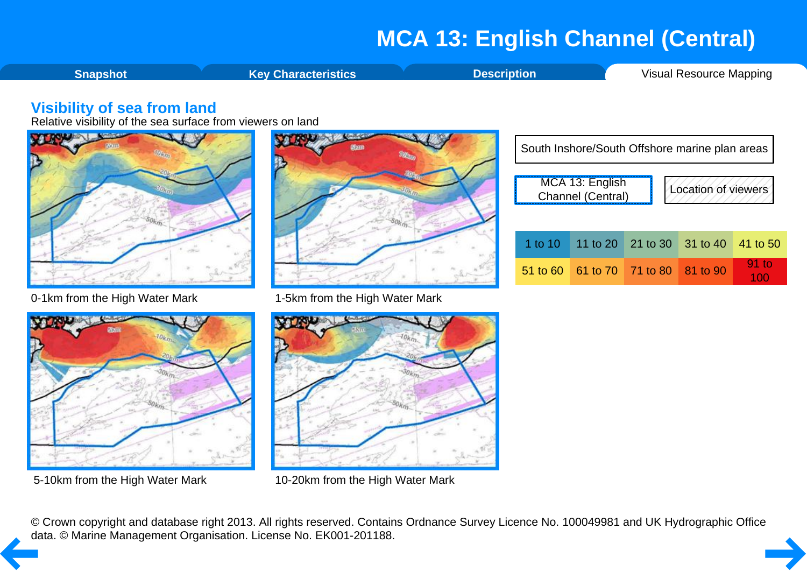<span id="page-7-0"></span>**[Snapshot](#page-1-0) Key [Characteristics](#page-2-0) [Description](#page-3-0) Visual [Resource](#page-6-0) Mapping** 

#### **Visibility of sea from land**

Relative visibility of the sea surface from viewers on land



0-1km from the High Water Mark 1-5km from the High Water Mark







5-10km from the High Water Mark 10-20km from the High Water Mark

| South Inshore/South Offshore marine plan areas              |                                     |                            |  |          |  |  |
|-------------------------------------------------------------|-------------------------------------|----------------------------|--|----------|--|--|
| MCA 13: English<br>Location of viewers<br>Channel (Central) |                                     |                            |  |          |  |  |
| 1 to $10$                                                   |                                     | 11 to 20 21 to 30 31 to 40 |  | 41 to 50 |  |  |
|                                                             | 51 to 60 61 to 70 71 to 80 81 to 90 |                            |  | $91$ to  |  |  |

© Crown copyright and database right 2013. All rights reserved. Contains Ordnance Survey Licence No. 100049981 and UK Hydrographic Office [da](#page-6-0)ta. © Marine Management Organisation. License No. EK001-201188.